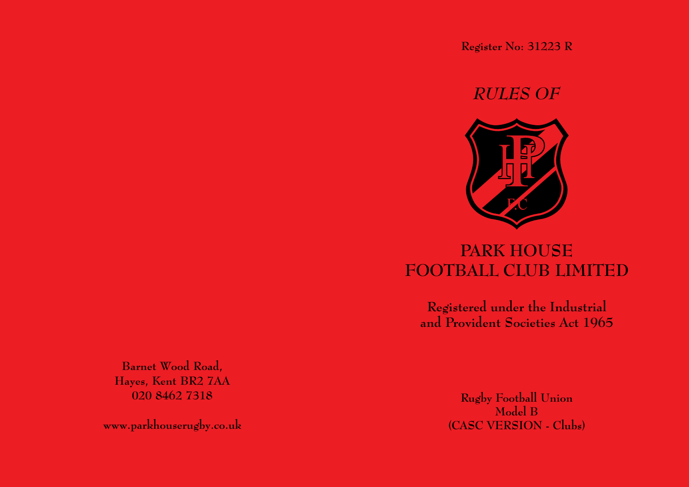**Register No: 31223 R**

## *RULES OF*



# **PARK HOUSE FOOTBALL CLUB LIMITED**

**Registered under the Industrial and Provident Societies Act 1965**

**Barnet Wood Road, Hayes, Kent BR2 7AA 020 8462 7318**

**www.parkhouserugby.co.uk**

**Rugby Football Union Model B (CASC VERSION - Clubs)**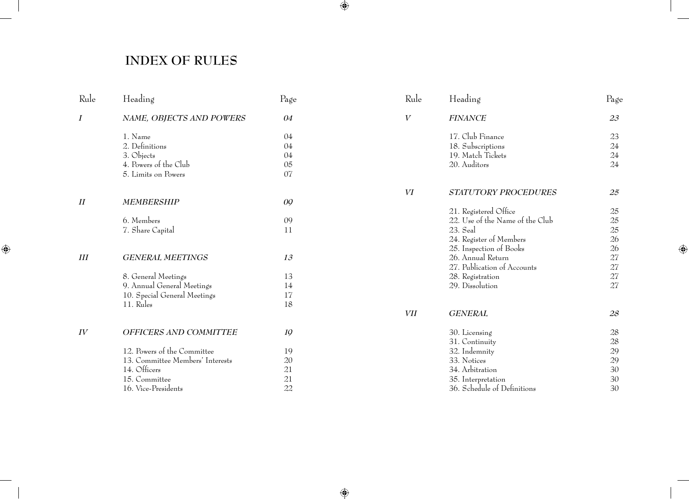## **INDEX OF RULES**

| Rule             | Heading                                          | Page     |
|------------------|--------------------------------------------------|----------|
| $\boldsymbol{I}$ | NAME, OBJECTS AND POWERS                         | 04       |
|                  | 1. Name                                          | 04       |
|                  | 2. Definitions                                   | 04       |
|                  | 3. Objects                                       | 04       |
|                  | 4. Powers of the Club                            | 05       |
|                  | 5. Limits on Powers                              | 07       |
| II               | <b>MEMBERSHIP</b>                                | 09       |
|                  | 6. Members                                       | 09       |
|                  | 7. Share Capital                                 | 11       |
| Ш                | <b>GENERAL MEETINGS</b>                          | 13       |
|                  |                                                  |          |
|                  | 8. General Meetings                              | 13       |
|                  | 9. Annual General Meetings                       | 14       |
|                  | 10. Special General Meetings                     | 17       |
|                  | 11. Rules                                        | 18       |
| IV               | OFFICERS AND COMMITTEE                           | 19       |
|                  |                                                  |          |
|                  | 12. Powers of the Committee                      | 19       |
|                  | 13. Committee Members' Interests<br>14. Officers | 20       |
|                  |                                                  | 21       |
|                  | 15. Committee                                    | 21<br>22 |
|                  | 16. Vice-Presidents                              |          |

| Rule    | Heading                         | Page   |
|---------|---------------------------------|--------|
| $\,V\,$ | <b>FINANCE</b>                  | 23     |
|         | 17. Club Finance                | 23     |
|         | 18. Subscriptions               | 24     |
|         | 19. Match Tickets               | $24\,$ |
|         | 20. Auditors                    | 24     |
| VI      | <b>STATUTORY PROCEDURES</b>     | 25     |
|         | 21. Registered Office           | 25     |
|         | 22. Use of the Name of the Club | 25     |
|         | 23. Seal                        | 25     |
|         | 24. Register of Members         | 26     |
|         | 25. Inspection of Books         | 26     |
|         | 26. Annual Return               | 27     |
|         | 27. Publication of Accounts     | $27\,$ |
|         | 28. Registration                | $27\,$ |
|         | 29. Dissolution                 | 27     |
| VП      | <b>GENERAL</b>                  | 28     |
|         | 30. Licensing                   | 28     |
|         | 31. Continuity                  | 28     |
|         | 32. Indemnity                   | 29     |
|         | 33. Notices                     | 29     |
|         | 34. Arbitration                 | 30     |
|         | 35. Interpretation              | 30     |
|         | 36. Schedule of Definitions     | 30     |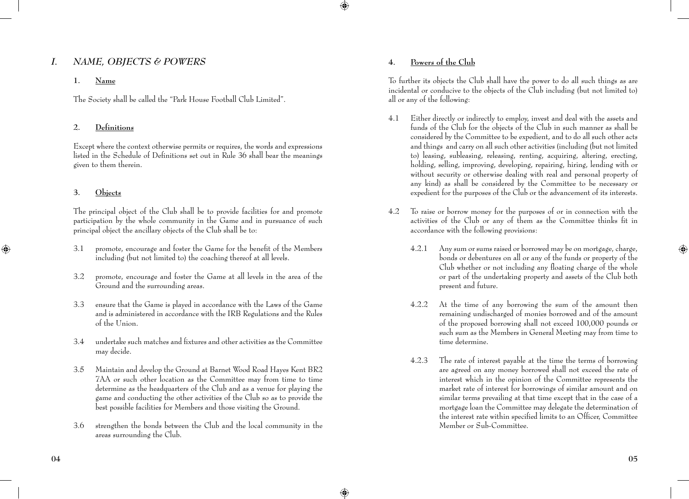## *i. Name, Objects & Powers*

## **1. Name**

The Society shall be called the "Park House Football Club Limited".

## **2. Definitions**

 Except where the context otherwise permits or requires, the words and expressions listed in the Schedule of Definitions set out in Rule 36 shall bear the meanings given to them therein.

## **3. Objects**

 The principal object of the Club shall be to provide facilities for and promote participation by the whole community in the Game and in pursuance of such principal object the ancillary objects of the Club shall be to:

- 3.1 promote, encourage and foster the Game for the benefit of the Members including (but not limited to) the coaching thereof at all levels.
- 3.2 promote, encourage and foster the Game at all levels in the area of the Ground and the surrounding areas.
- 3.3 ensure that the Game is played in accordance with the Laws of the Game and is administered in accordance with the IRB Regulations and the Rules of the Union.
- 3.4 undertake such matches and fixtures and other activities as the Committee may decide.
- 3.5 Maintain and develop the Ground at Barnet Wood Road Hayes Kent BR2 7AA or such other location as the Committee may from time to time determine as the headquarters of the Club and as a venue for playing the game and conducting the other activities of the Club so as to provide the best possible facilities for Members and those visiting the Ground.
- 3.6 strengthen the bonds between the Club and the local community in the areas surrounding the Club.

## **4. Powers of the Club**

 To further its objects the Club shall have the power to do all such things as are incidental or conducive to the objects of the Club including (but not limited to) all or any of the following:

- 4.1 Either directly or indirectly to employ, invest and deal with the assets and funds of the Club for the objects of the Club in such manner as shall be considered by the Committee to be expedient, and to do all such other acts and things and carry on all such other activities (including (but not limited to) leasing, subleasing, releasing, renting, acquiring, altering, erecting, holding, selling, improving, developing, repairing, hiring, lending with or without security or otherwise dealing with real and personal property of any kind) as shall be considered by the Committee to be necessary or expedient for the purposes of the Club or the advancement of its interests.
- 4.2 To raise or borrow money for the purposes of or in connection with the activities of the Club or any of them as the Committee thinks fit in accordance with the following provisions:
	- 4.2.1 Any sum or sums raised or borrowed may be on mortgage, charge, bonds or debentures on all or any of the funds or property of the Club whether or not including any floating charge of the whole or part of the undertaking property and assets of the Club both present and future.
	- 4.2.2 At the time of any borrowing the sum of the amount then remaining undischarged of monies borrowed and of the amount of the proposed borrowing shall not exceed 100,000 pounds or such sum as the Members in General Meeting may from time to time determine.
	- 4.2.3 The rate of interest payable at the time the terms of borrowing are agreed on any money borrowed shall not exceed the rate of interest which in the opinion of the Committee represents the market rate of interest for borrowings of similar amount and on similar terms prevailing at that time except that in the case of a mortgage loan the Committee may delegate the determination of the interest rate within specified limits to an Officer, Committee Member or Sub-Committee.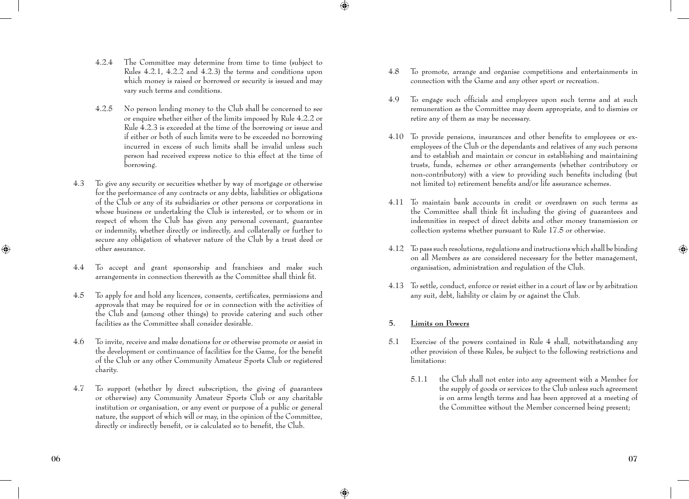- 4.2.4 The Committee may determine from time to time (subject to Rules 4.2.1, 4.2.2 and 4.2.3) the terms and conditions upon which money is raised or borrowed or security is issued and may vary such terms and conditions.
- 4.2.5 No person lending money to the Club shall be concerned to see or enquire whether either of the limits imposed by Rule 4.2.2 or Rule 4.2.3 is exceeded at the time of the borrowing or issue and if either or both of such limits were to be exceeded no borrowing incurred in excess of such limits shall be invalid unless such person had received express notice to this effect at the time of borrowing.
- 4.3 To give any security or securities whether by way of mortgage or otherwise for the performance of any contracts or any debts, liabilities or obligations of the Club or any of its subsidiaries or other persons or corporations in whose business or undertaking the Club is interested, or to whom or in respect of whom the Club has given any personal covenant, guarantee or indemnity, whether directly or indirectly, and collaterally or further to secure any obligation of whatever nature of the Club by a trust deed or other assurance.
- 4.4 To accept and grant sponsorship and franchises and make such arrangements in connection therewith as the Committee shall think fit.
- 4.5 To apply for and hold any licences, consents, certificates, permissions and approvals that may be required for or in connection with the activities of the Club and (among other things) to provide catering and such other facilities as the Committee shall consider desirable.
- 4.6 To invite, receive and make donations for or otherwise promote or assist in the development or continuance of facilities for the Game, for the benefit of the Club or any other Community Amateur Sports Club or registered charity.
- 4.7 To support (whether by direct subscription, the giving of guarantees or otherwise) any Community Amateur Sports Club or any charitable institution or organisation, or any event or purpose of a public or general nature, the support of which will or may, in the opinion of the Committee, directly or indirectly benefit, or is calculated so to benefit, the Club.
- 4.8 To promote, arrange and organise competitions and entertainments in connection with the Game and any other sport or recreation.
- 4.9 To engage such officials and employees upon such terms and at such remuneration as the Committee may deem appropriate, and to dismiss or retire any of them as may be necessary.
- 4.10 To provide pensions, insurances and other benefits to employees or exemployees of the Club or the dependants and relatives of any such persons and to establish and maintain or concur in establishing and maintaining trusts, funds, schemes or other arrangements (whether contributory or non-contributory) with a view to providing such benefits including (but not limited to) retirement benefits and/or life assurance schemes.
- 4.11 To maintain bank accounts in credit or overdrawn on such terms as the Committee shall think fit including the giving of guarantees and indemnities in respect of direct debits and other money transmission or collection systems whether pursuant to Rule 17.5 or otherwise.
- 4.12 To pass such resolutions, regulations and instructions which shall be binding on all Members as are considered necessary for the better management, organisation, administration and regulation of the Club.
- 4.13 To settle, conduct, enforce or resist either in a court of law or by arbitration any suit, debt, liability or claim by or against the Club.

## **5. Limits on Powers**

- 5.1 Exercise of the powers contained in Rule 4 shall, notwithstanding any other provision of these Rules, be subject to the following restrictions and limitations:
	- 5.1.1 the Club shall not enter into any agreement with a Member for the supply of goods or services to the Club unless such agreement is on arms length terms and has been approved at a meeting of the Committee without the Member concerned being present;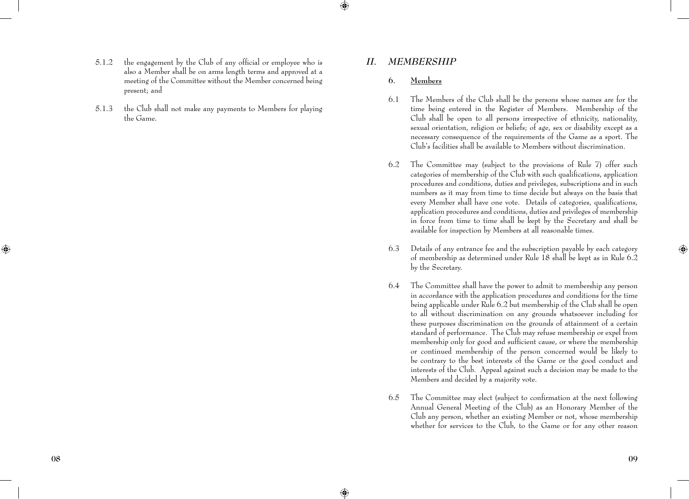- 5.1.2 the engagement by the Club of any official or employee who is also a Member shall be on arms length terms and approved at a meeting of the Committee without the Member concerned being present; and
- 5.1.3 the Club shall not make any payments to Members for playing the Game.

## *ii. MEMBERSHIP*

### **6. Members**

- 6.1 The Members of the Club shall be the persons whose names are for the time being entered in the Register of Members. Membership of the Club shall be open to all persons irrespective of ethnicity, nationality, sexual orientation, religion or beliefs; of age, sex or disability except as a necessary consequence of the requirements of the Game as a sport. The Club's facilities shall be available to Members without discrimination.
- 6.2 The Committee may (subject to the provisions of Rule 7) offer such categories of membership of the Club with such qualifications, application procedures and conditions, duties and privileges, subscriptions and in such numbers as it may from time to time decide but always on the basis that every Member shall have one vote. Details of categories, qualifications, application procedures and conditions, duties and privileges of membership in force from time to time shall be kept by the Secretary and shall be available for inspection by Members at all reasonable times.
- 6.3 Details of any entrance fee and the subscription payable by each category of membership as determined under Rule 18 shall be kept as in Rule 6.2 by the Secretary.
- 6.4 The Committee shall have the power to admit to membership any person in accordance with the application procedures and conditions for the time being applicable under Rule 6.2 but membership of the Club shall be open to all without discrimination on any grounds whatsoever including for these purposes discrimination on the grounds of attainment of a certain standard of performance. The Club may refuse membership or expel from membership only for good and sufficient cause, or where the membership or continued membership of the person concerned would be likely to be contrary to the best interests of the Game or the good conduct and interests of the Club. Appeal against such a decision may be made to the Members and decided by a majority vote.
- 6.5 The Committee may elect (subject to confirmation at the next following Annual General Meeting of the Club) as an Honorary Member of the Club any person, whether an existing Member or not, whose membership whether for services to the Club, to the Game or for any other reason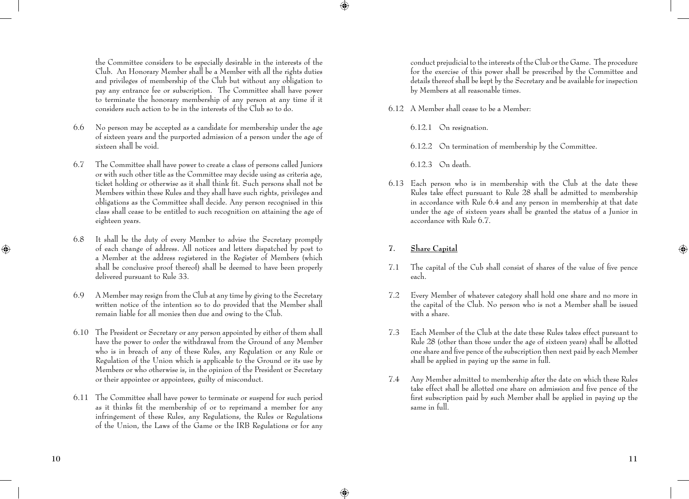the Committee considers to be especially desirable in the interests of the Club. An Honorary Member shall be a Member with all the rights duties and privileges of membership of the Club but without any obligation to pay any entrance fee or subscription. The Committee shall have power to terminate the honorary membership of any person at any time if it considers such action to be in the interests of the Club so to do.

- 6.6 No person may be accepted as a candidate for membership under the age of sixteen years and the purported admission of a person under the age of sixteen shall be void.
- 6.7 The Committee shall have power to create a class of persons called Juniors or with such other title as the Committee may decide using as criteria age, ticket holding or otherwise as it shall think fit. Such persons shall not be Members within these Rules and they shall have such rights, privileges and obligations as the Committee shall decide. Any person recognised in this class shall cease to be entitled to such recognition on attaining the age of eighteen years.
- 6.8 It shall be the duty of every Member to advise the Secretary promptly of each change of address. All notices and letters dispatched by post to a Member at the address registered in the Register of Members (which shall be conclusive proof thereof) shall be deemed to have been properly delivered pursuant to Rule 33.
- 6.9 A Member may resign from the Club at any time by giving to the Secretary written notice of the intention so to do provided that the Member shall remain liable for all monies then due and owing to the Club.
- 6.10 The President or Secretary or any person appointed by either of them shall have the power to order the withdrawal from the Ground of any Member who is in breach of any of these Rules, any Regulation or any Rule or Regulation of the Union which is applicable to the Ground or its use by Members or who otherwise is, in the opinion of the President or Secretary or their appointee or appointees, guilty of misconduct.
- 6.11 The Committee shall have power to terminate or suspend for such period as it thinks fit the membership of or to reprimand a member for any infringement of these Rules, any Regulations, the Rules or Regulations of the Union, the Laws of the Game or the IRB Regulations or for any

conduct prejudicial to the interests of the Club or the Game. The procedure for the exercise of this power shall be prescribed by the Committee and details thereof shall be kept by the Secretary and be available for inspection by Members at all reasonable times.

- 6.12 A Member shall cease to be a Member:
	- 6.12.1 On resignation.
	- 6.12.2 On termination of membership by the Committee.
	- 6.12.3 On death.
- 6.13 Each person who is in membership with the Club at the date these Rules take effect pursuant to Rule 28 shall be admitted to membership in accordance with Rule 6.4 and any person in membership at that date under the age of sixteen years shall be granted the status of a Junior in accordance with Rule 6.7.
- **7. Share Capital**
- 7.1 The capital of the Cub shall consist of shares of the value of five pence each.
- 7.2 Every Member of whatever category shall hold one share and no more in the capital of the Club. No person who is not a Member shall be issued with a share.
- 7.3 Each Member of the Club at the date these Rules takes effect pursuant to Rule 28 (other than those under the age of sixteen years) shall be allotted one share and five pence of the subscription then next paid by each Member shall be applied in paying up the same in full.
- 7.4 Any Member admitted to membership after the date on which these Rules take effect shall be allotted one share on admission and five pence of the first subscription paid by such Member shall be applied in paying up the same in full.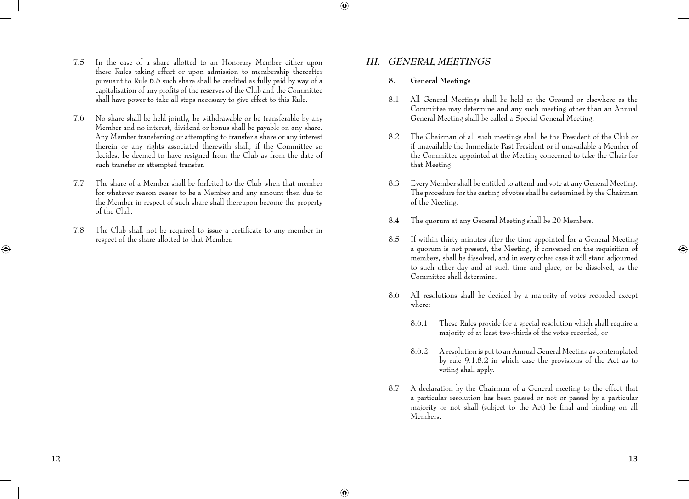- 7.5 In the case of a share allotted to an Honorary Member either upon these Rules taking effect or upon admission to membership thereafter pursuant to Rule 6.5 such share shall be credited as fully paid by way of a capitalisation of any profits of the reserves of the Club and the Committee shall have power to take all steps necessary to give effect to this Rule.
- 7.6 No share shall be held jointly, be withdrawable or be transferable by any Member and no interest, dividend or bonus shall be payable on any share. Any Member transferring or attempting to transfer a share or any interest therein or any rights associated therewith shall, if the Committee so decides, be deemed to have resigned from the Club as from the date of such transfer or attempted transfer.
- 7.7 The share of a Member shall be forfeited to the Club when that member for whatever reason ceases to be a Member and any amount then due to the Member in respect of such share shall thereupon become the property of the Club.
- 7.8 The Club shall not be required to issue a certificate to any member in respect of the share allotted to that Member.

## *iii. general Meetings*

## **8. General Meetings**

- 8.1 All General Meetings shall be held at the Ground or elsewhere as the Committee may determine and any such meeting other than an Annual General Meeting shall be called a Special General Meeting.
- 8.2 The Chairman of all such meetings shall be the President of the Club or if unavailable the Immediate Past President or if unavailable a Member of the Committee appointed at the Meeting concerned to take the Chair for that Meeting.
- 8.3 Every Member shall be entitled to attend and vote at any General Meeting. The procedure for the casting of votes shall be determined by the Chairman of the Meeting.
- 8.4 The quorum at any General Meeting shall be 20 Members.
- 8.5 If within thirty minutes after the time appointed for a General Meeting a quorum is not present, the Meeting, if convened on the requisition of members, shall be dissolved, and in every other case it will stand adjourned to such other day and at such time and place, or be dissolved, as the Committee shall determine.
- 8.6 All resolutions shall be decided by a majority of votes recorded except where:
	- 8.6.1 These Rules provide for a special resolution which shall require a majority of at least two-thirds of the votes recorded, or
	- 8.6.2 A resolution is put to an Annual General Meeting as contemplated by rule 9.1.8.2 in which case the provisions of the Act as to voting shall apply.
- 8.7 A declaration by the Chairman of a General meeting to the effect that a particular resolution has been passed or not or passed by a particular majority or not shall (subject to the Act) be final and binding on all Members.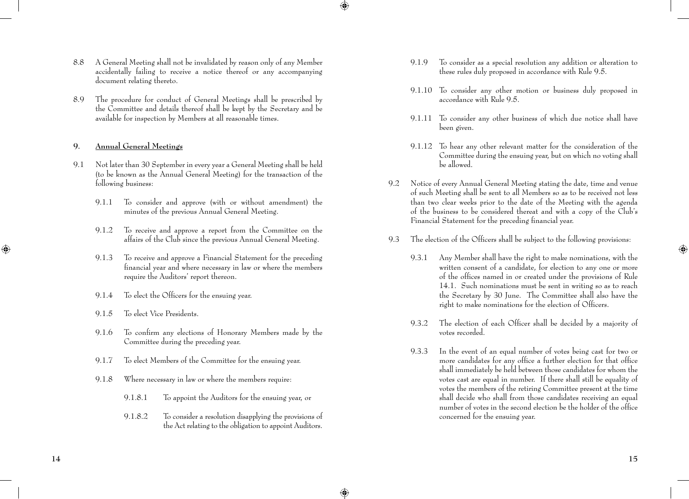- 8.8 A General Meeting shall not be invalidated by reason only of any Member accidentally failing to receive a notice thereof or any accompanying document relating thereto.
- 8.9 The procedure for conduct of General Meetings shall be prescribed by the Committee and details thereof shall be kept by the Secretary and be available for inspection by Members at all reasonable times.

## **9. Annual General Meetings**

- 9.1 Not later than 30 September in every year a General Meeting shall be held (to be known as the Annual General Meeting) for the transaction of the following business:
	- 9.1.1 To consider and approve (with or without amendment) the minutes of the previous Annual General Meeting.
	- 9.1.2 To receive and approve a report from the Committee on the affairs of the Club since the previous Annual General Meeting.
	- 9.1.3 To receive and approve a Financial Statement for the preceding financial year and where necessary in law or where the members require the Auditors' report thereon.
	- 9.1.4 To elect the Officers for the ensuing year.
	- 9.1.5 To elect Vice Presidents.
	- 9.1.6 To confirm any elections of Honorary Members made by the Committee during the preceding year.
	- 9.1.7 To elect Members of the Committee for the ensuing year.
	- 9.1.8 Where necessary in law or where the members require:
		- 9.1.8.1 To appoint the Auditors for the ensuing year, or
		- 9.1.8.2 To consider a resolution disapplying the provisions of the Act relating to the obligation to appoint Auditors.
- 9.1.9 To consider as a special resolution any addition or alteration to these rules duly proposed in accordance with Rule 9.5.
- 9.1.10 To consider any other motion or business duly proposed in accordance with Rule 9.5.
- 9.1.11 To consider any other business of which due notice shall have been given.
- 9.1.12 To hear any other relevant matter for the consideration of the Committee during the ensuing year, but on which no voting shall be allowed.
- 9.2 Notice of every Annual General Meeting stating the date, time and venue of such Meeting shall be sent to all Members so as to be received not less than two clear weeks prior to the date of the Meeting with the agenda of the business to be considered thereat and with a copy of the Club's Financial Statement for the preceding financial year.
- 9.3 The election of the Officers shall be subject to the following provisions:
	- 9.3.1 Any Member shall have the right to make nominations, with the written consent of a candidate, for election to any one or more of the offices named in or created under the provisions of Rule 14.1. Such nominations must be sent in writing so as to reach the Secretary by 30 June. The Committee shall also have the right to make nominations for the election of Officers.
	- 9.3.2 The election of each Officer shall be decided by a majority of votes recorded.
	- 9.3.3 In the event of an equal number of votes being cast for two or more candidates for any office a further election for that office shall immediately be held between those candidates for whom the votes cast are equal in number. If there shall still be equality of votes the members of the retiring Committee present at the time shall decide who shall from those candidates receiving an equal number of votes in the second election be the holder of the office concerned for the ensuing year.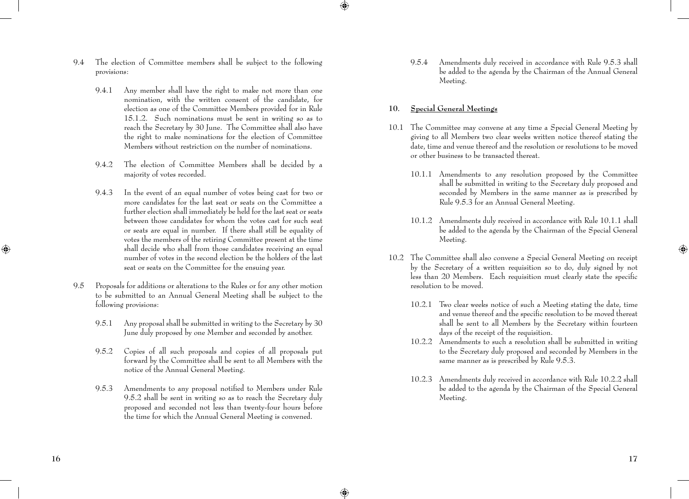- 9.4 The election of Committee members shall be subject to the following provisions:
	- 9.4.1 Any member shall have the right to make not more than one nomination, with the written consent of the candidate, for election as one of the Committee Members provided for in Rule 15.1.2. Such nominations must be sent in writing so as to reach the Secretary by 30 June. The Committee shall also have the right to make nominations for the election of Committee Members without restriction on the number of nominations.
	- 9.4.2 The election of Committee Members shall be decided by a majority of votes recorded.
	- 9.4.3 In the event of an equal number of votes being cast for two or more candidates for the last seat or seats on the Committee a further election shall immediately be held for the last seat or seats between those candidates for whom the votes cast for such seat or seats are equal in number. If there shall still be equality of votes the members of the retiring Committee present at the time shall decide who shall from those candidates receiving an equal number of votes in the second election be the holders of the last seat or seats on the Committee for the ensuing year.
- 9.5 Proposals for additions or alterations to the Rules or for any other motion to be submitted to an Annual General Meeting shall be subject to the following provisions:
	- 9.5.1 Any proposal shall be submitted in writing to the Secretary by 30 June duly proposed by one Member and seconded by another.
	- 9.5.2 Copies of all such proposals and copies of all proposals put forward by the Committee shall be sent to all Members with the notice of the Annual General Meeting.
	- 9.5.3 Amendments to any proposal notified to Members under Rule 9.5.2 shall be sent in writing so as to reach the Secretary duly proposed and seconded not less than twenty-four hours before the time for which the Annual General Meeting is convened.

 9.5.4 Amendments duly received in accordance with Rule 9.5.3 shall be added to the agenda by the Chairman of the Annual General Meeting.

## **10. Special General Meetings**

- 10.1 The Committee may convene at any time a Special General Meeting by giving to all Members two clear weeks written notice thereof stating the date, time and venue thereof and the resolution or resolutions to be moved or other business to be transacted thereat.
	- 10.1.1 Amendments to any resolution proposed by the Committee shall be submitted in writing to the Secretary duly proposed and seconded by Members in the same manner as is prescribed by Rule 9.5.3 for an Annual General Meeting.
	- 10.1.2 Amendments duly received in accordance with Rule 10.1.1 shall be added to the agenda by the Chairman of the Special General Meeting.
- 10.2 The Committee shall also convene a Special General Meeting on receipt by the Secretary of a written requisition so to do, duly signed by not less than 20 Members. Each requisition must clearly state the specific resolution to be moved.
	- 10.2.1 Two clear weeks notice of such a Meeting stating the date, time and venue thereof and the specific resolution to be moved thereat shall be sent to all Members by the Secretary within fourteen days of the receipt of the requisition.
	- 10.2.2 Amendments to such a resolution shall be submitted in writing to the Secretary duly proposed and seconded by Members in the same manner as is prescribed by Rule 9.5.3.
	- 10.2.3 Amendments duly received in accordance with Rule 10.2.2 shall be added to the agenda by the Chairman of the Special General Meeting.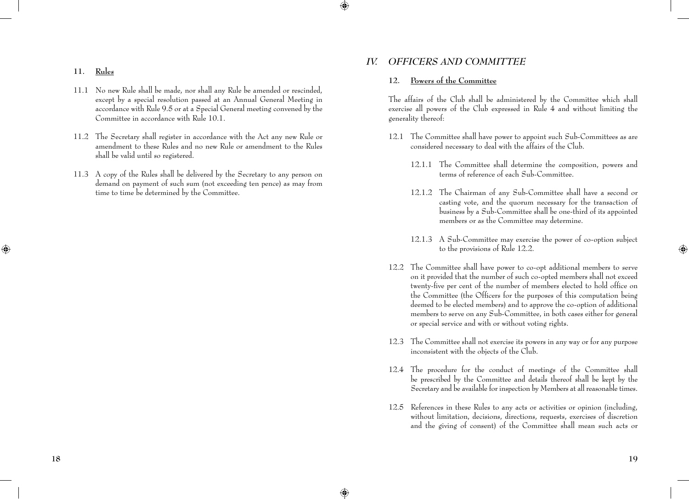#### **11. Rules**

- 11.1 No new Rule shall be made, nor shall any Rule be amended or rescinded, except by a special resolution passed at an Annual General Meeting in accordance with Rule 9.5 or at a Special General meeting convened by the Committee in accordance with Rule 10.1.
- 11.2 The Secretary shall register in accordance with the Act any new Rule or amendment to these Rules and no new Rule or amendment to the Rules shall be valid until so registered.
- 11.3 A copy of the Rules shall be delivered by the Secretary to any person on demand on payment of such sum (not exceeding ten pence) as may from time to time be determined by the Committee.

## *iv. Officers and Committee*

#### **12. Powers of the Committee**

 The affairs of the Club shall be administered by the Committee which shall exercise all powers of the Club expressed in Rule 4 and without limiting the generality thereof:

- 12.1 The Committee shall have power to appoint such Sub-Committees as are considered necessary to deal with the affairs of the Club.
	- 12.1.1 The Committee shall determine the composition, powers and terms of reference of each Sub-Committee.
	- 12.1.2 The Chairman of any Sub-Committee shall have a second or casting vote, and the quorum necessary for the transaction of business by a Sub-Committee shall be one-third of its appointed members or as the Committee may determine.
	- 12.1.3 A Sub-Committee may exercise the power of co-option subject to the provisions of Rule 12.2.
- 12.2 The Committee shall have power to co-opt additional members to serve on it provided that the number of such co-opted members shall not exceed twenty-five per cent of the number of members elected to hold office on the Committee (the Officers for the purposes of this computation being deemed to be elected members) and to approve the co-option of additional members to serve on any Sub-Committee, in both cases either for general or special service and with or without voting rights.
- 12.3 The Committee shall not exercise its powers in any way or for any purpose inconsistent with the objects of the Club.
- 12.4 The procedure for the conduct of meetings of the Committee shall be prescribed by the Committee and details thereof shall be kept by the Secretary and be available for inspection by Members at all reasonable times.
- 12.5 References in these Rules to any acts or activities or opinion (including, without limitation, decisions, directions, requests, exercises of discretion and the giving of consent) of the Committee shall mean such acts or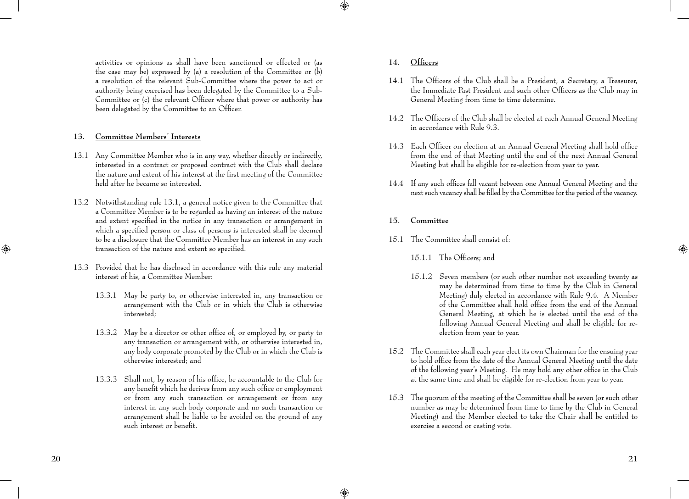activities or opinions as shall have been sanctioned or effected or (as the case may be) expressed by (a) a resolution of the Committee or  $(b)$ a resolution of the relevant Sub-Committee where the power to act or authority being exercised has been delegated by the Committee to a Sub-Committee or (c) the relevant Officer where that power or authority has been delegated by the Committee to an Officer.

## **13. Committee Members' Interests**

- 13.1 Any Committee Member who is in any way, whether directly or indirectly, interested in a contract or proposed contract with the Club shall declare the nature and extent of his interest at the first meeting of the Committee held after he became so interested.
- 13.2 Notwithstanding rule 13.1, a general notice given to the Committee that a Committee Member is to be regarded as having an interest of the nature and extent specified in the notice in any transaction or arrangement in which a specified person or class of persons is interested shall be deemed to be a disclosure that the Committee Member has an interest in any such transaction of the nature and extent so specified.
- 13.3 Provided that he has disclosed in accordance with this rule any material interest of his, a Committee Member:
	- 13.3.1 May be party to, or otherwise interested in, any transaction or arrangement with the Club or in which the Club is otherwise interested;
	- 13.3.2 May be a director or other office of, or employed by, or party to any transaction or arrangement with, or otherwise interested in, any body corporate promoted by the Club or in which the Club is otherwise interested; and
	- 13.3.3 Shall not, by reason of his office, be accountable to the Club for any benefit which he derives from any such office or employment or from any such transaction or arrangement or from any interest in any such body corporate and no such transaction or arrangement shall be liable to be avoided on the ground of any such interest or benefit.
- **14. Officers**
- 14.1 The Officers of the Club shall be a President, a Secretary, a Treasurer, the Immediate Past President and such other Officers as the Club may in General Meeting from time to time determine.
- 14.2 The Officers of the Club shall be elected at each Annual General Meeting in accordance with Rule 9.3.
- 14.3 Each Officer on election at an Annual General Meeting shall hold office from the end of that Meeting until the end of the next Annual General Meeting but shall be eligible for re-election from year to year.
- 14.4 If any such offices fall vacant between one Annual General Meeting and the next such vacancy shall be filled by the Committee for the period of the vacancy.
- **15. Committee**
- 15.1 The Committee shall consist of:
	- 15.1.1 The Officers; and
	- 15.1.2 Seven members (or such other number not exceeding twenty as may be determined from time to time by the Club in General Meeting) duly elected in accordance with Rule 9.4. A Member of the Committee shall hold office from the end of the Annual General Meeting, at which he is elected until the end of the following Annual General Meeting and shall be eligible for reelection from year to year.
- 15.2 The Committee shall each year elect its own Chairman for the ensuing year to hold office from the date of the Annual General Meeting until the date of the following year's Meeting. He may hold any other office in the Club at the same time and shall be eligible for re-election from year to year.
- 15.3 The quorum of the meeting of the Committee shall be seven (or such other number as may be determined from time to time by the Club in General Meeting) and the Member elected to take the Chair shall be entitled to exercise a second or casting vote.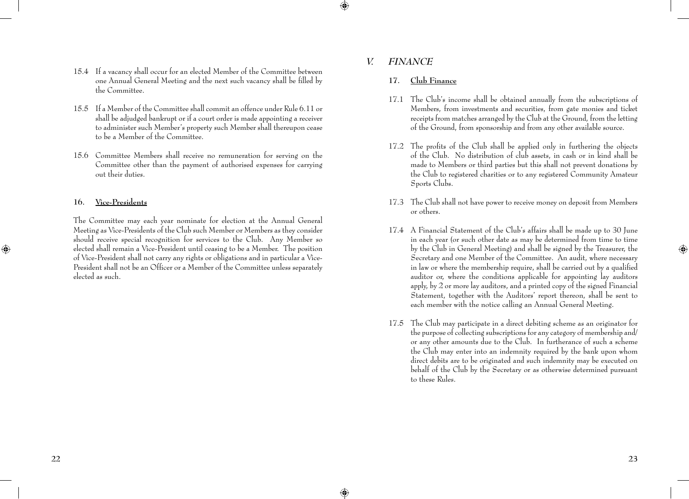- 15.4 If a vacancy shall occur for an elected Member of the Committee between one Annual General Meeting and the next such vacancy shall be filled by the Committee.
- 15.5 If a Member of the Committee shall commit an offence under Rule 6.11 or shall be adjudged bankrupt or if a court order is made appointing a receiver to administer such Member's property such Member shall thereupon cease to be a Member of the Committee.
- 15.6 Committee Members shall receive no remuneration for serving on the Committee other than the payment of authorised expenses for carrying out their duties.

### **16. Vice-Presidents**

 The Committee may each year nominate for election at the Annual General Meeting as Vice-Presidents of the Club such Member or Members as they consider should receive special recognition for services to the Club. Any Member so elected shall remain a Vice-President until ceasing to be a Member. The position of Vice-President shall not carry any rights or obligations and in particular a Vice-President shall not be an Officer or a Member of the Committee unless separately elected as such.

## *v. Finance*

### **17. Club Finance**

- 17.1 The Club's income shall be obtained annually from the subscriptions of Members, from investments and securities, from gate monies and ticket receipts from matches arranged by the Club at the Ground, from the letting of the Ground, from sponsorship and from any other available source.
- 17.2 The profits of the Club shall be applied only in furthering the objects of the Club. No distribution of club assets, in cash or in kind shall be made to Members or third parties but this shall not prevent donations by the Club to registered charities or to any registered Community Amateur Sports Clubs.
- 17.3 The Club shall not have power to receive money on deposit from Members or others.
- 17.4 A Financial Statement of the Club's affairs shall be made up to 30 June in each year (or such other date as may be determined from time to time by the Club in General Meeting) and shall be signed by the Treasurer, the Secretary and one Member of the Committee. An audit, where necessary in law or where the membership require, shall be carried out by a qualified auditor or, where the conditions applicable for appointing lay auditors apply, by 2 or more lay auditors, and a printed copy of the signed Financial Statement, together with the Auditors' report thereon, shall be sent to each member with the notice calling an Annual General Meeting.
- 17.5 The Club may participate in a direct debiting scheme as an originator for the purpose of collecting subscriptions for any category of membership and/ or any other amounts due to the Club. In furtherance of such a scheme the Club may enter into an indemnity required by the bank upon whom direct debits are to be originated and such indemnity may be executed on behalf of the Club by the Secretary or as otherwise determined pursuant to these Rules.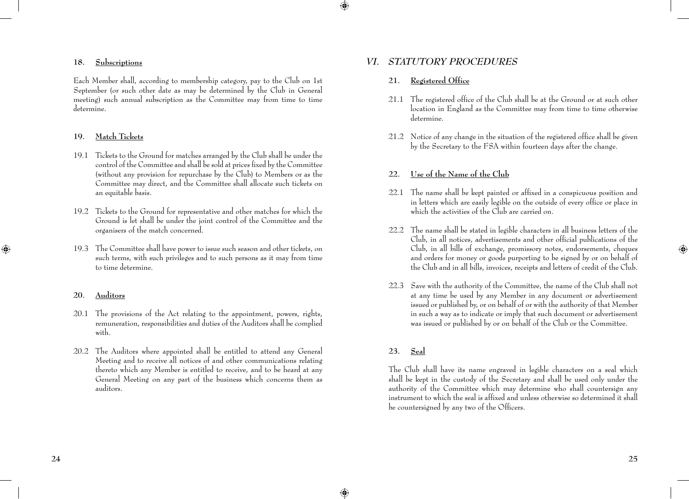#### **18. Subscriptions**

 Each Member shall, according to membership category, pay to the Club on 1st September (or such other date as may be determined by the Club in General meeting) such annual subscription as the Committee may from time to time determine.

## **19. Match Tickets**

- 19.1 Tickets to the Ground for matches arranged by the Club shall be under the control of the Committee and shall be sold at prices fixed by the Committee (without any provision for repurchase by the Club) to Members or as the Committee may direct, and the Committee shall allocate such tickets on an equitable basis.
- 19.2 Tickets to the Ground for representative and other matches for which the Ground is let shall be under the joint control of the Committee and the organisers of the match concerned.
- 19.3 The Committee shall have power to issue such season and other tickets, on such terms, with such privileges and to such persons as it may from time to time determine.

#### **20. Auditors**

- 20.1 The provisions of the Act relating to the appointment, powers, rights, remuneration, responsibilities and duties of the Auditors shall be complied with.
- 20.2 The Auditors where appointed shall be entitled to attend any General Meeting and to receive all notices of and other communications relating thereto which any Member is entitled to receive, and to be heard at any General Meeting on any part of the business which concerns them as auditors.

## *vi. Statutory Procedures*

## **21. Registered Office**

- 21.1 The registered office of the Club shall be at the Ground or at such other location in England as the Committee may from time to time otherwise determine.
- 21.2 Notice of any change in the situation of the registered office shall be given by the Secretary to the FSA within fourteen days after the change.

### **22. Use of the Name of the Club**

- 22.1 The name shall be kept painted or affixed in a conspicuous position and in letters which are easily legible on the outside of every office or place in which the activities of the Club are carried on.
- 22.2 The name shall be stated in legible characters in all business letters of the Club, in all notices, advertisements and other official publications of the Club, in all bills of exchange, promissory notes, endorsements, cheques and orders for money or goods purporting to be signed by or on behalf of the Club and in all bills, invoices, receipts and letters of credit of the Club.
- 22.3 Save with the authority of the Committee, the name of the Club shall not at any time be used by any Member in any document or advertisement issued or published by, or on behalf of or with the authority of that Member in such a way as to indicate or imply that such document or advertisement was issued or published by or on behalf of the Club or the Committee.

## **23. Seal**

 The Club shall have its name engraved in legible characters on a seal which shall be kept in the custody of the Secretary and shall be used only under the authority of the Committee which may determine who shall countersign any instrument to which the seal is affixed and unless otherwise so determined it shall be countersigned by any two of the Officers.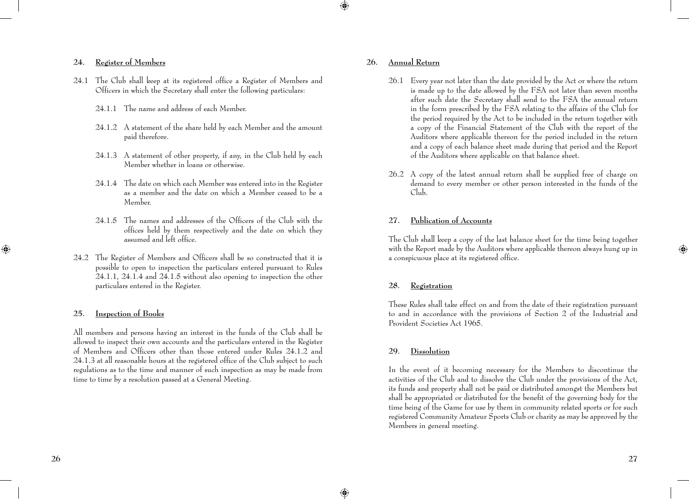## **24. Register of Members**

- 24.1 The Club shall keep at its registered office a Register of Members and Officers in which the Secretary shall enter the following particulars:
	- 24.1.1 The name and address of each Member.
	- 24.1.2 A statement of the share held by each Member and the amount paid therefore.
	- 24.1.3 A statement of other property, if any, in the Club held by each Member whether in loans or otherwise.
	- 24.1.4 The date on which each Member was entered into in the Register as a member and the date on which a Member ceased to be a Member.
	- 24.1.5 The names and addresses of the Officers of the Club with the offices held by them respectively and the date on which they assumed and left office.
- 24.2 The Register of Members and Officers shall be so constructed that it is possible to open to inspection the particulars entered pursuant to Rules  $24.1.1$ ,  $24.1.4$  and  $24.1.5$  without also opening to inspection the other particulars entered in the Register.

## **25. Inspection of Books**

 All members and persons having an interest in the funds of the Club shall be allowed to inspect their own accounts and the particulars entered in the Register of Members and Officers other than those entered under Rules 24.1.2 and 24.1.3 at all reasonable hours at the registered office of the Club subject to such regulations as to the time and manner of such inspection as may be made from time to time by a resolution passed at a General Meeting.

### **26. Annual Return**

- 26.1 Every year not later than the date provided by the Act or where the return is made up to the date allowed by the FSA not later than seven months after such date the Secretary shall send to the FSA the annual return in the form prescribed by the FSA relating to the affairs of the Club for the period required by the Act to be included in the return together with a copy of the Financial Statement of the Club with the report of the Auditors where applicable thereon for the period included in the return and a copy of each balance sheet made during that period and the Report of the Auditors where applicable on that balance sheet.
- 26.2 A copy of the latest annual return shall be supplied free of charge on demand to every member or other person interested in the funds of the Club.

## **27. Publication of Accounts**

 The Club shall keep a copy of the last balance sheet for the time being together with the Report made by the Auditors where applicable thereon always hung up in a conspicuous place at its registered office.

#### **28. Registration**

 These Rules shall take effect on and from the date of their registration pursuant to and in accordance with the provisions of Section 2 of the Industrial and Provident Societies Act 1965.

#### **29. Dissolution**

 In the event of it becoming necessary for the Members to discontinue the activities of the Club and to dissolve the Club under the provisions of the Act, its funds and property shall not be paid or distributed amongst the Members but shall be appropriated or distributed for the benefit of the governing body for the time being of the Game for use by them in community related sports or for such registered Community Amateur Sports Club or charity as may be approved by the Members in general meeting.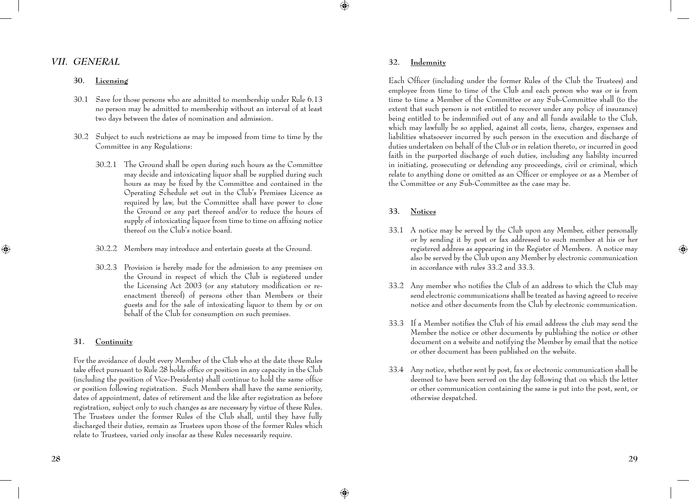## *vii. General*

### **30. Licensing**

- 30.1 Save for those persons who are admitted to membership under Rule 6.13 no person may be admitted to membership without an interval of at least two days between the dates of nomination and admission.
- 30.2 Subject to such restrictions as may be imposed from time to time by the Committee in any Regulations:
	- 30.2.1 The Ground shall be open during such hours as the Committee may decide and intoxicating liquor shall be supplied during such hours as may be fixed by the Committee and contained in the Operating Schedule set out in the Club's Premises Licence as required by law, but the Committee shall have power to close the Ground or any part thereof and/or to reduce the hours of supply of intoxicating liquor from time to time on affixing notice thereof on the Club's notice board.
	- 30.2.2 Members may introduce and entertain guests at the Ground.
	- 30.2.3 Provision is hereby made for the admission to any premises on the Ground in respect of which the Club is registered under the Licensing Act 2003 (or any statutory modification or reenactment thereof) of persons other than Members or their guests and for the sale of intoxicating liquor to them by or on behalf of the Club for consumption on such premises.

### **31. Continuity**

 For the avoidance of doubt every Member of the Club who at the date these Rules take effect pursuant to Rule 28 holds office or position in any capacity in the Club (including the position of Vice-Presidents) shall continue to hold the same office or position following registration. Such Members shall have the same seniority, dates of appointment, dates of retirement and the like after registration as before registration, subject only to such changes as are necessary by virtue of these Rules. The Trustees under the former Rules of the Club shall, until they have fully discharged their duties, remain as Trustees upon those of the former Rules which relate to Trustees, varied only insofar as these Rules necessarily require.

#### **32. Indemnity**

 Each Officer (including under the former Rules of the Club the Trustees) and employee from time to time of the Club and each person who was or is from time to time a Member of the Committee or any Sub-Committee shall (to the extent that such person is not entitled to recover under any policy of insurance) being entitled to be indemnified out of any and all funds available to the Club, which may lawfully be so applied, against all costs, liens, charges, expenses and liabilities whatsoever incurred by such person in the execution and discharge of duties undertaken on behalf of the Club or in relation thereto, or incurred in good faith in the purported discharge of such duties, including any liability incurred in initiating, prosecuting or defending any proceedings, civil or criminal, which relate to anything done or omitted as an Officer or employee or as a Member of the Committee or any Sub-Committee as the case may be.

## **33. Notices**

- 33.1 A notice may be served by the Club upon any Member, either personally or by sending it by post or fax addressed to such member at his or her registered address as appearing in the Register of Members. A notice may also be served by the Club upon any Member by electronic communication in accordance with rules 33.2 and 33.3.
- 33.2 Any member who notifies the Club of an address to which the Club may send electronic communications shall be treated as having agreed to receive notice and other documents from the Club by electronic communication.
- 33.3 If a Member notifies the Club of his email address the club may send the Member the notice or other documents by publishing the notice or other document on a website and notifying the Member by email that the notice or other document has been published on the website.
- 33.4 Any notice, whether sent by post, fax or electronic communication shall be deemed to have been served on the day following that on which the letter or other communication containing the same is put into the post, sent, or otherwise despatched.